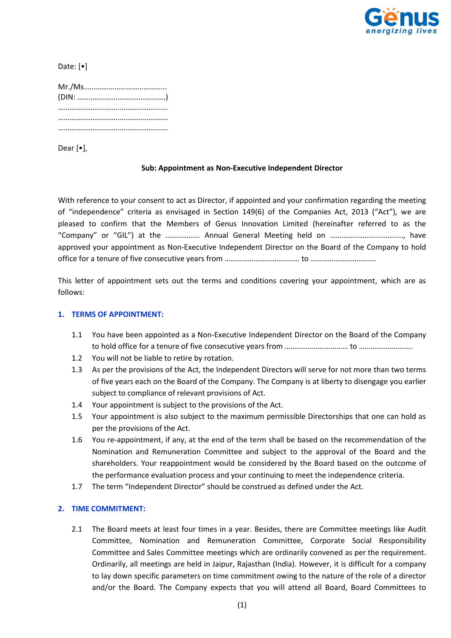

Date: [•]

| $(DIN: \dots \dots \dots \dots \dots \dots \dots \dots \dots \dots \dots)$ |  |
|----------------------------------------------------------------------------|--|
|                                                                            |  |
|                                                                            |  |
|                                                                            |  |

Dear [•],

## **Sub: Appointment as Non-Executive Independent Director**

With reference to your consent to act as Director, if appointed and your confirmation regarding the meeting of "independence" criteria as envisaged in Section 149(6) of the Companies Act, 2013 ("Act"), we are pleased to confirm that the Members of Genus Innovation Limited (hereinafter referred to as the "Company" or "GIL") at the ……………… Annual General Meeting held on ……………………………….., have approved your appointment as Non-Executive Independent Director on the Board of the Company to hold office for a tenure of five consecutive years from ………………………………… to …………………………….

This letter of appointment sets out the terms and conditions covering your appointment, which are as follows:

## **1. TERMS OF APPOINTMENT:**

- 1.1 You have been appointed as a Non-Executive Independent Director on the Board of the Company to hold office for a tenure of five consecutive years from …………………………… to ……………………….
- 1.2 You will not be liable to retire by rotation.
- 1.3 As per the provisions of the Act, the Independent Directors will serve for not more than two terms of five years each on the Board of the Company. The Company is at liberty to disengage you earlier subject to compliance of relevant provisions of Act.
- 1.4 Your appointment is subject to the provisions of the Act.
- 1.5 Your appointment is also subject to the maximum permissible Directorships that one can hold as per the provisions of the Act.
- 1.6 You re-appointment, if any, at the end of the term shall be based on the recommendation of the Nomination and Remuneration Committee and subject to the approval of the Board and the shareholders. Your reappointment would be considered by the Board based on the outcome of the performance evaluation process and your continuing to meet the independence criteria.
- 1.7 The term "Independent Director" should be construed as defined under the Act.

## **2. TIME COMMITMENT:**

2.1 The Board meets at least four times in a year. Besides, there are Committee meetings like Audit Committee, Nomination and Remuneration Committee, Corporate Social Responsibility Committee and Sales Committee meetings which are ordinarily convened as per the requirement. Ordinarily, all meetings are held in Jaipur, Rajasthan (India). However, it is difficult for a company to lay down specific parameters on time commitment owing to the nature of the role of a director and/or the Board. The Company expects that you will attend all Board, Board Committees to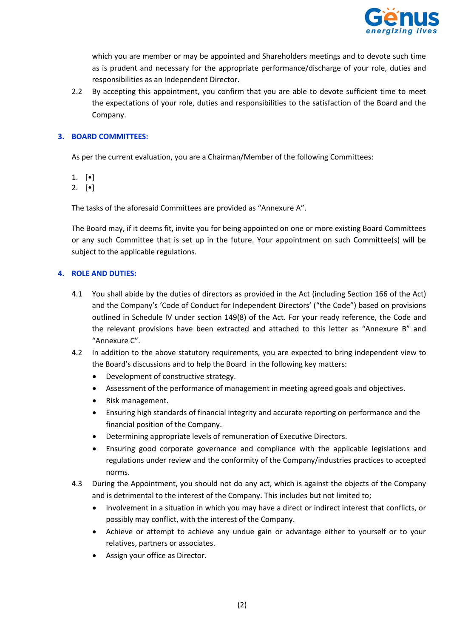

which you are member or may be appointed and Shareholders meetings and to devote such time as is prudent and necessary for the appropriate performance/discharge of your role, duties and responsibilities as an Independent Director.

2.2 By accepting this appointment, you confirm that you are able to devote sufficient time to meet the expectations of your role, duties and responsibilities to the satisfaction of the Board and the Company.

# **3. BOARD COMMITTEES:**

As per the current evaluation, you are a Chairman/Member of the following Committees:

1. [•]

2.  $[•]$ 

The tasks of the aforesaid Committees are provided as "Annexure A".

The Board may, if it deems fit, invite you for being appointed on one or more existing Board Committees or any such Committee that is set up in the future. Your appointment on such Committee(s) will be subject to the applicable regulations.

# **4. ROLE AND DUTIES:**

- 4.1 You shall abide by the duties of directors as provided in the Act (including Section 166 of the Act) and the Company's 'Code of Conduct for Independent Directors' ("the Code") based on provisions outlined in Schedule IV under section 149(8) of the Act. For your ready reference, the Code and the relevant provisions have been extracted and attached to this letter as "Annexure B" and "Annexure C".
- 4.2 In addition to the above statutory requirements, you are expected to bring independent view to the Board's discussions and to help the Board in the following key matters:
	- Development of constructive strategy.
	- Assessment of the performance of management in meeting agreed goals and objectives.
	- Risk management.
	- Ensuring high standards of financial integrity and accurate reporting on performance and the financial position of the Company.
	- Determining appropriate levels of remuneration of Executive Directors.
	- Ensuring good corporate governance and compliance with the applicable legislations and regulations under review and the conformity of the Company/industries practices to accepted norms.
- 4.3 During the Appointment, you should not do any act, which is against the objects of the Company and is detrimental to the interest of the Company. This includes but not limited to;
	- Involvement in a situation in which you may have a direct or indirect interest that conflicts, or possibly may conflict, with the interest of the Company.
	- Achieve or attempt to achieve any undue gain or advantage either to yourself or to your relatives, partners or associates.
	- Assign your office as Director.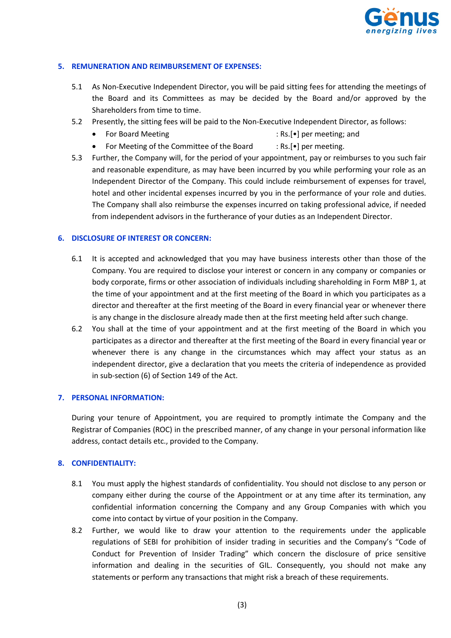

# **5. REMUNERATION AND REIMBURSEMENT OF EXPENSES:**

- 5.1 As Non-Executive Independent Director, you will be paid sitting fees for attending the meetings of the Board and its Committees as may be decided by the Board and/or approved by the Shareholders from time to time.
- 5.2 Presently, the sitting fees will be paid to the Non-Executive Independent Director, as follows:
	- For Board Meeting **in the same of the set of the Second** Presenting: Rs.[•] per meeting; and
		-
	- For Meeting of the Committee of the Board : Rs.[•] per meeting.
- 5.3 Further, the Company will, for the period of your appointment, pay or reimburses to you such fair and reasonable expenditure, as may have been incurred by you while performing your role as an Independent Director of the Company. This could include reimbursement of expenses for travel, hotel and other incidental expenses incurred by you in the performance of your role and duties. The Company shall also reimburse the expenses incurred on taking professional advice, if needed from independent advisors in the furtherance of your duties as an Independent Director.

## **6. DISCLOSURE OF INTEREST OR CONCERN:**

- 6.1 It is accepted and acknowledged that you may have business interests other than those of the Company. You are required to disclose your interest or concern in any company or companies or body corporate, firms or other association of individuals including shareholding in Form MBP 1, at the time of your appointment and at the first meeting of the Board in which you participates as a director and thereafter at the first meeting of the Board in every financial year or whenever there is any change in the disclosure already made then at the first meeting held after such change.
- 6.2 You shall at the time of your appointment and at the first meeting of the Board in which you participates as a director and thereafter at the first meeting of the Board in every financial year or whenever there is any change in the circumstances which may affect your status as an independent director, give a declaration that you meets the criteria of independence as provided in sub-section (6) of Section 149 of the Act.

## **7. PERSONAL INFORMATION:**

During your tenure of Appointment, you are required to promptly intimate the Company and the Registrar of Companies (ROC) in the prescribed manner, of any change in your personal information like address, contact details etc., provided to the Company.

# **8. CONFIDENTIALITY:**

- 8.1 You must apply the highest standards of confidentiality. You should not disclose to any person or company either during the course of the Appointment or at any time after its termination, any confidential information concerning the Company and any Group Companies with which you come into contact by virtue of your position in the Company.
- 8.2 Further, we would like to draw your attention to the requirements under the applicable regulations of SEBI for prohibition of insider trading in securities and the Company's "Code of Conduct for Prevention of Insider Trading" which concern the disclosure of price sensitive information and dealing in the securities of GIL. Consequently, you should not make any statements or perform any transactions that might risk a breach of these requirements.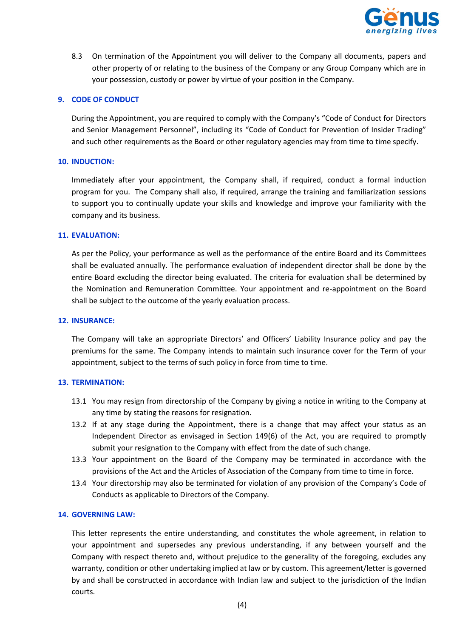

8.3 On termination of the Appointment you will deliver to the Company all documents, papers and other property of or relating to the business of the Company or any Group Company which are in your possession, custody or power by virtue of your position in the Company.

## **9. CODE OF CONDUCT**

During the Appointment, you are required to comply with the Company's "Code of Conduct for Directors and Senior Management Personnel", including its "Code of Conduct for Prevention of Insider Trading" and such other requirements as the Board or other regulatory agencies may from time to time specify.

## **10. INDUCTION:**

Immediately after your appointment, the Company shall, if required, conduct a formal induction program for you. The Company shall also, if required, arrange the training and familiarization sessions to support you to continually update your skills and knowledge and improve your familiarity with the company and its business.

## **11. EVALUATION:**

As per the Policy, your performance as well as the performance of the entire Board and its Committees shall be evaluated annually. The performance evaluation of independent director shall be done by the entire Board excluding the director being evaluated. The criteria for evaluation shall be determined by the Nomination and Remuneration Committee. Your appointment and re-appointment on the Board shall be subject to the outcome of the yearly evaluation process.

## **12. INSURANCE:**

The Company will take an appropriate Directors' and Officers' Liability Insurance policy and pay the premiums for the same. The Company intends to maintain such insurance cover for the Term of your appointment, subject to the terms of such policy in force from time to time.

## **13. TERMINATION:**

- 13.1 You may resign from directorship of the Company by giving a notice in writing to the Company at any time by stating the reasons for resignation.
- 13.2 If at any stage during the Appointment, there is a change that may affect your status as an Independent Director as envisaged in Section 149(6) of the Act, you are required to promptly submit your resignation to the Company with effect from the date of such change.
- 13.3 Your appointment on the Board of the Company may be terminated in accordance with the provisions of the Act and the Articles of Association of the Company from time to time in force.
- 13.4 Your directorship may also be terminated for violation of any provision of the Company's Code of Conducts as applicable to Directors of the Company.

## **14. GOVERNING LAW:**

This letter represents the entire understanding, and constitutes the whole agreement, in relation to your appointment and supersedes any previous understanding, if any between yourself and the Company with respect thereto and, without prejudice to the generality of the foregoing, excludes any warranty, condition or other undertaking implied at law or by custom. This agreement/letter is governed by and shall be constructed in accordance with Indian law and subject to the jurisdiction of the Indian courts.